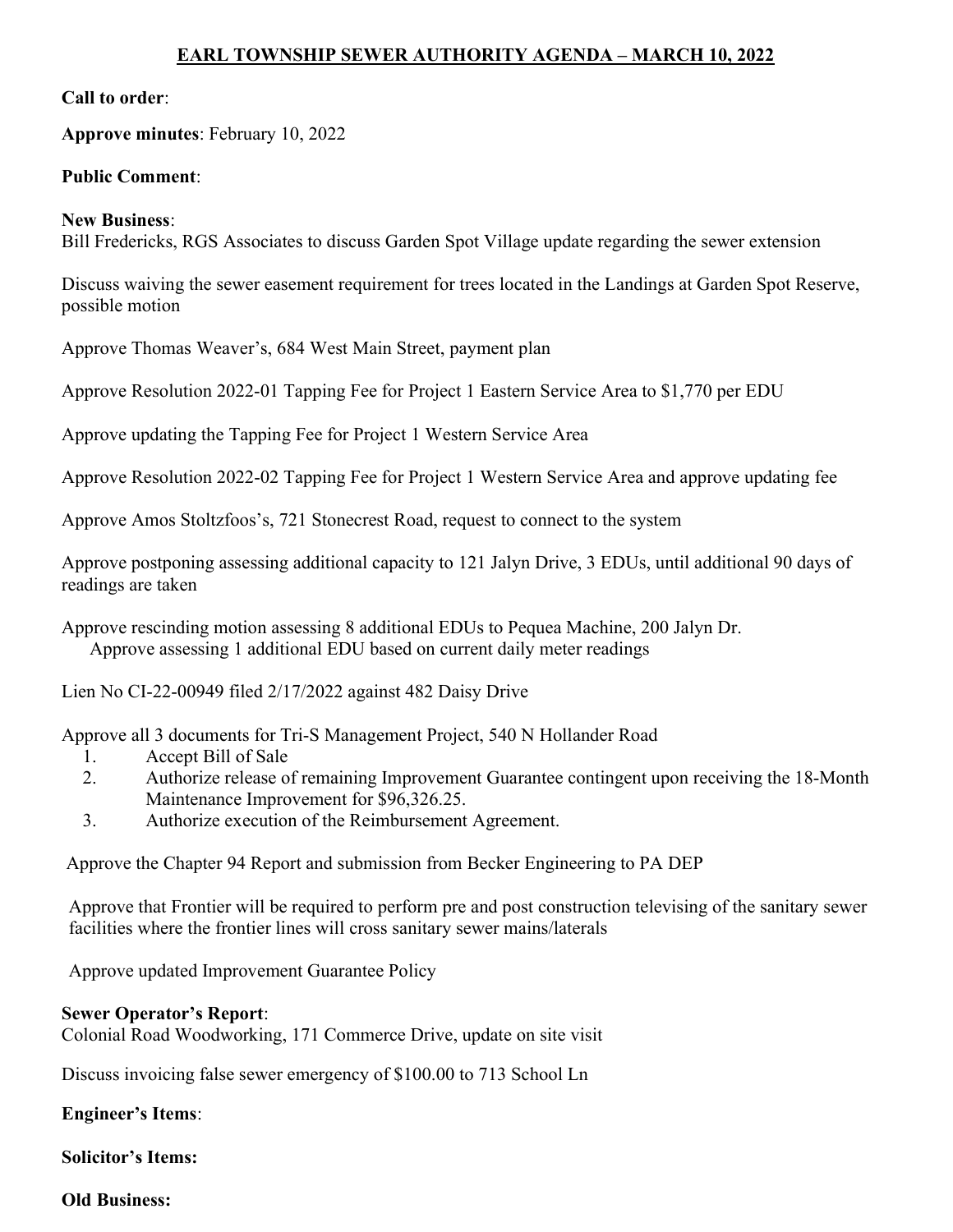# EARL TOWNSHIP SEWER AUTHORITY AGENDA – MARCH 10, 2022

### Call to order:

## Approve minutes: February 10, 2022

### Public Comment:

#### New Business:

Bill Fredericks, RGS Associates to discuss Garden Spot Village update regarding the sewer extension

Discuss waiving the sewer easement requirement for trees located in the Landings at Garden Spot Reserve, possible motion

Approve Thomas Weaver's, 684 West Main Street, payment plan

Approve Resolution 2022-01 Tapping Fee for Project 1 Eastern Service Area to \$1,770 per EDU

Approve updating the Tapping Fee for Project 1 Western Service Area

Approve Resolution 2022-02 Tapping Fee for Project 1 Western Service Area and approve updating fee

Approve Amos Stoltzfoos's, 721 Stonecrest Road, request to connect to the system

Approve postponing assessing additional capacity to 121 Jalyn Drive, 3 EDUs, until additional 90 days of readings are taken

Approve rescinding motion assessing 8 additional EDUs to Pequea Machine, 200 Jalyn Dr. Approve assessing 1 additional EDU based on current daily meter readings

Lien No CI-22-00949 filed 2/17/2022 against 482 Daisy Drive

Approve all 3 documents for Tri-S Management Project, 540 N Hollander Road

- 1. Accept Bill of Sale
- 2. Authorize release of remaining Improvement Guarantee contingent upon receiving the 18-Month Maintenance Improvement for \$96,326.25.
- 3. Authorize execution of the Reimbursement Agreement.

Approve the Chapter 94 Report and submission from Becker Engineering to PA DEP

Approve that Frontier will be required to perform pre and post construction televising of the sanitary sewer facilities where the frontier lines will cross sanitary sewer mains/laterals

Approve updated Improvement Guarantee Policy

#### Sewer Operator's Report:

Colonial Road Woodworking, 171 Commerce Drive, update on site visit

Discuss invoicing false sewer emergency of \$100.00 to 713 School Ln

Engineer's Items:

Solicitor's Items:

Old Business: